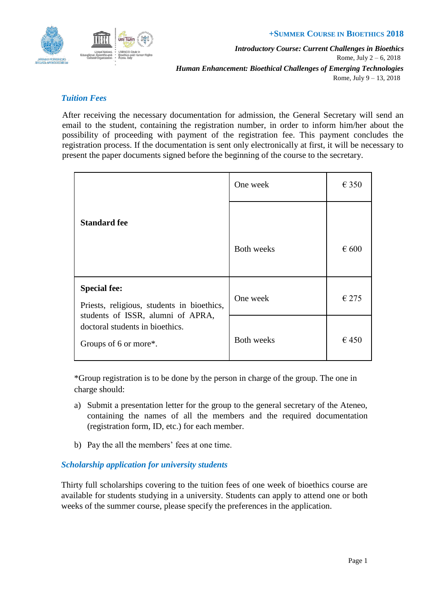

#### **+SUMMER COURSE IN BIOETHICS 2018**

*Introductory Course: Current Challenges in Bioethics* Rome, July 2 – 6, 2018 *Human Enhancement: Bioethical Challenges of Emerging Technologies* Rome, July 9 – 13, 2018

# *Tuition Fees*

After receiving the necessary documentation for admission, the General Secretary will send an email to the student, containing the registration number, in order to inform him/her about the possibility of proceeding with payment of the registration fee. This payment concludes the registration process. If the documentation is sent only electronically at first, it will be necessary to present the paper documents signed before the beginning of the course to the secretary.

| <b>Standard fee</b>                                                                                                                                                | One week          | $\epsilon$ 350 |
|--------------------------------------------------------------------------------------------------------------------------------------------------------------------|-------------------|----------------|
|                                                                                                                                                                    |                   |                |
|                                                                                                                                                                    | <b>Both weeks</b> | $\epsilon$ 600 |
| <b>Special fee:</b><br>Priests, religious, students in bioethics,<br>students of ISSR, alumni of APRA,<br>doctoral students in bioethics.<br>Groups of 6 or more*. | One week          | $\epsilon$ 275 |
|                                                                                                                                                                    | <b>Both weeks</b> | €450           |

\*Group registration is to be done by the person in charge of the group. The one in charge should:

- a) Submit a presentation letter for the group to the general secretary of the Ateneo, containing the names of all the members and the required documentation (registration form, ID, etc.) for each member.
- b) Pay the all the members' fees at one time.

## *Scholarship application for university students*

Thirty full scholarships covering to the tuition fees of one week of bioethics course are available for students studying in a university. Students can apply to attend one or both weeks of the summer course, please specify the preferences in the application.